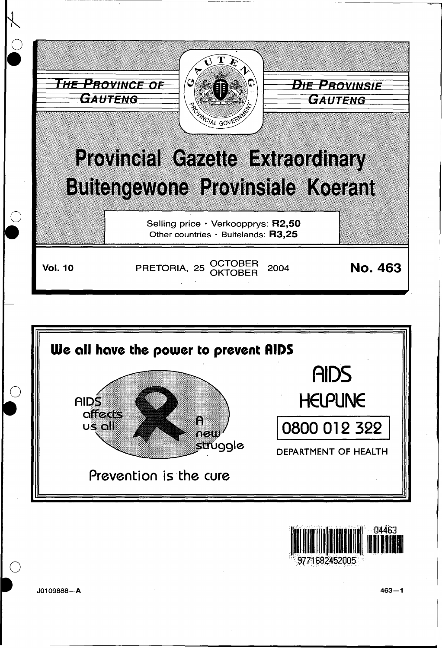





9771682452005

J0109888-A

 $463 - 1$